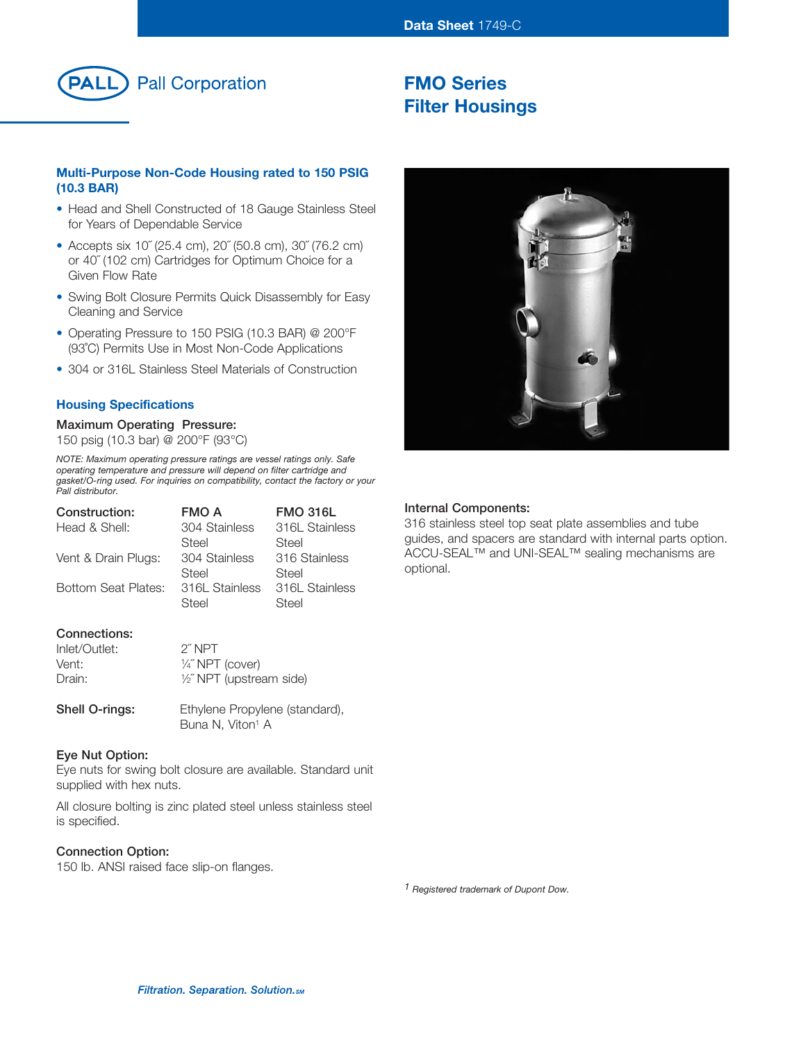

# **FMO Series Filter Housings**

# **Multi-Purpose Non-Code Housing rated to 150 PSIG (10.3 BAR)**

- Head and Shell Constructed of 18 Gauge Stainless Steel for Years of Dependable Service
- Accepts six 10˝ (25.4 cm), 20˝ (50.8 cm), 30˝ (76.2 cm) or 40˝ (102 cm) Cartridges for Optimum Choice for a Given Flow Rate
- Swing Bolt Closure Permits Quick Disassembly for Easy Cleaning and Service
- Operating Pressure to 150 PSIG (10.3 BAR) @ 200°F (93˚C) Permits Use in Most Non-Code Applications
- 304 or 316L Stainless Steel Materials of Construction

# **Housing Specifications**

# **Maximum Operating Pressure:**

150 psig (10.3 bar) @ 200°F (93°C)

*NOTE: Maximum operating pressure ratings are vessel ratings only. Safe operating temperature and pressure will depend on filter cartridge and gasket/O-ring used. For inquiries on compatibility, contact the factory or your Pall distributor.*

| Construction:       | <b>FMO A</b>   | <b>FMO 316L</b> |
|---------------------|----------------|-----------------|
| Head & Shell:       | 304 Stainless  | 316L Stainless  |
|                     | Steel          | Steel           |
| Vent & Drain Plugs: | 304 Stainless  | 316 Stainless   |
|                     | Steel          | Steel           |
| Bottom Seat Plates: | 316L Stainless | 316L Stainless  |
|                     | Steel          | Steel           |
|                     |                |                 |
|                     |                |                 |

# **Connections:**

| Inlet/Outlet: | 2″ NPT                    |
|---------------|---------------------------|
| Vent:         | $\frac{1}{4}$ NPT (cover) |
| Drain:        | 1/2" NPT (upstream side)  |

Shell O-rings: Ethylene Propylene (standard), Buna N, Viton<sup>1</sup> A

#### **Eye Nut Option:**

Eye nuts for swing bolt closure are available. Standard unit supplied with hex nuts.

All closure bolting is zinc plated steel unless stainless steel is specified.

#### **Connection Option:**

150 lb. ANSI raised face slip-on flanges.



# **Internal Components:**

316 stainless steel top seat plate assemblies and tube guides, and spacers are standard with internal parts option. ACCU-SEAL™ and UNI-SEAL™ sealing mechanisms are optional.

*1 Registered trademark of Dupont Dow.*